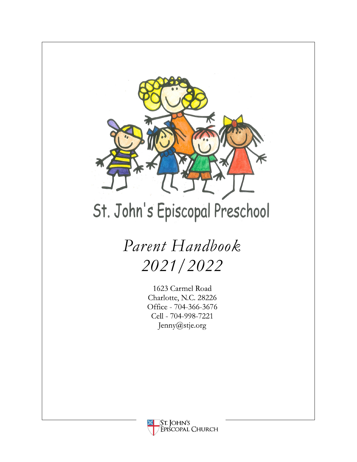

# St. John's Episcopal Preschool

# *Parent Handbook 2021/2022*

1623 Carmel Road Charlotte, N.C. 28226 Office - 704-366-3676 Cell - 704-998-7221 Jenny@stje.org

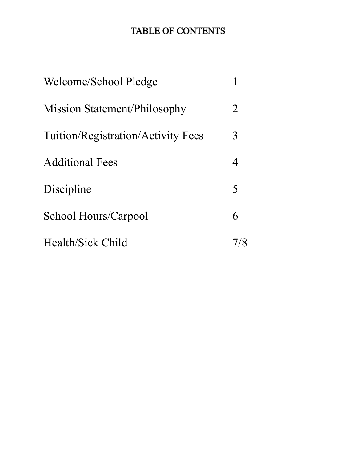# **TABLE OF CONTENTS**

| Welcome/School Pledge                     |   |
|-------------------------------------------|---|
| Mission Statement/Philosophy              | 2 |
| <b>Tuition/Registration/Activity Fees</b> | 3 |
| <b>Additional Fees</b>                    | 4 |
| Discipline                                | 5 |
| School Hours/Carpool                      | 6 |
| Health/Sick Child                         |   |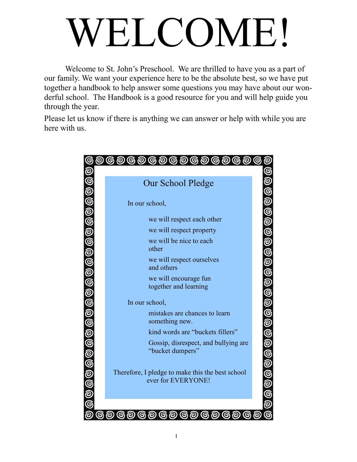# WELCOME!

Welcome to St. John's Preschool. We are thrilled to have you as a part of our family. We want your experience here to be the absolute best, so we have put together a handbook to help answer some questions you may have about our wonderful school. The Handbook is a good resource for you and will help guide you through the year.

Please let us know if there is anything we can answer or help with while you are here with us.

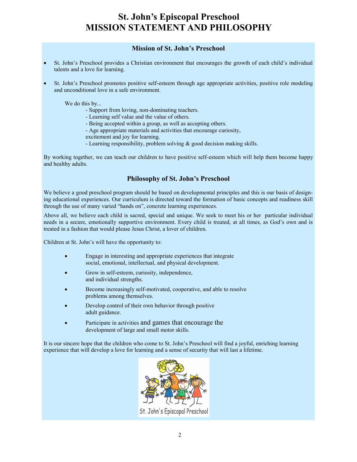#### **St. John's Episcopal Preschool MISSION STATEMENT AND PHILOSOPHY**

#### **Mission of St. John's Preschool**

- St. John's Preschool provides a Christian environment that encourages the growth of each child's individual talents and a love for learning.
- St. John's Preschool promotes positive self-esteem through age appropriate activities, positive role modeling and unconditional love in a safe environment.

We do this by...

- Support from loving, non-dominating teachers.
- Learning self value and the value of others.
- Being accepted within a group, as well as accepting others.
- Age appropriate materials and activities that encourage curiosity,
- excitement and joy for learning.
- Learning responsibility, problem solving & good decision making skills.

By working together, we can teach our children to have positive self-esteem which will help them become happy and healthy adults.

#### **Philosophy of St. John's Preschool**

We believe a good preschool program should be based on developmental principles and this is our basis of designing educational experiences. Our curriculum is directed toward the formation of basic concepts and readiness skill through the use of many varied "hands on", concrete learning experiences.

Above all, we believe each child is sacred, special and unique. We seek to meet his or her particular individual needs in a secure, emotionally supportive environment. Every child is treated, at all times, as God's own and is treated in a fashion that would please Jesus Christ, a lover of children.

Children at St. John's will have the opportunity to:

- Engage in interesting and appropriate experiences that integrate social, emotional, intellectual, and physical development.
- Grow in self-esteem, curiosity, independence, and individual strengths.
- Become increasingly self-motivated, cooperative, and able to resolve problems among themselves.
- Develop control of their own behavior through positive adult guidance.
- Participate in activities and games that encourage the development of large and small motor skills.

It is our sincere hope that the children who come to St. John's Preschool will find a joyful, enriching learning experience that will develop a love for learning and a sense of security that will last a lifetime.

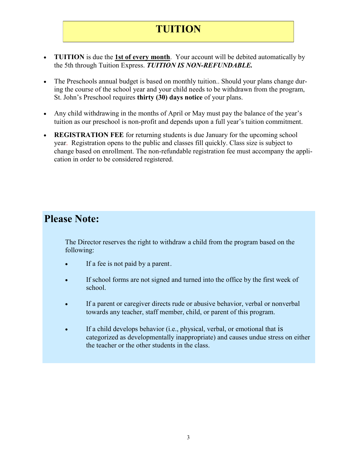# **TUITION**

- **TUITION** is due the **1st of every month**. Your account will be debited automatically by the 5th through Tuition Express. *TUITION IS NON-REFUNDABLE.*
- The Preschools annual budget is based on monthly tuition.. Should your plans change during the course of the school year and your child needs to be withdrawn from the program, St. John's Preschool requires **thirty (30) days notice** of your plans.
- Any child withdrawing in the months of April or May must pay the balance of the year's tuition as our preschool is non-profit and depends upon a full year's tuition commitment.
- **REGISTRATION FEE** for returning students is due January for the upcoming school year. Registration opens to the public and classes fill quickly. Class size is subject to change based on enrollment. The non-refundable registration fee must accompany the application in order to be considered registered.

# **Please Note:**

The Director reserves the right to withdraw a child from the program based on the following:

- If a fee is not paid by a parent.
- If school forms are not signed and turned into the office by the first week of school.
- If a parent or caregiver directs rude or abusive behavior, verbal or nonverbal towards any teacher, staff member, child, or parent of this program.
- If a child develops behavior (i.e., physical, verbal, or emotional that is categorized as developmentally inappropriate) and causes undue stress on either the teacher or the other students in the class.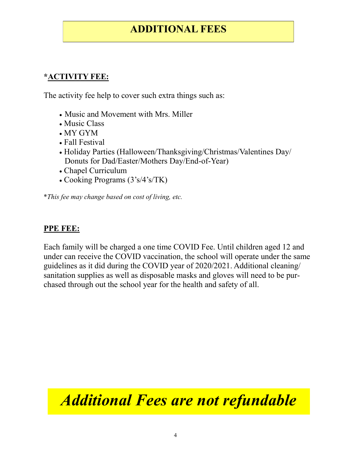# **ADDITIONAL FEES**

#### **\*ACTIVITY FEE:**

The activity fee help to cover such extra things such as:

- Music and Movement with Mrs. Miller
- Music Class
- MY GYM
- Fall Festival
- Holiday Parties (Halloween/Thanksgiving/Christmas/Valentines Day/ Donuts for Dad/Easter/Mothers Day/End-of-Year)
- Chapel Curriculum
- Cooking Programs (3's/4's/TK)

\**This fee may change based on cost of living, etc.*

#### **PPE FEE:**

Each family will be charged a one time COVID Fee. Until children aged 12 and under can receive the COVID vaccination, the school will operate under the same guidelines as it did during the COVID year of 2020/2021. Additional cleaning/ sanitation supplies as well as disposable masks and gloves will need to be purchased through out the school year for the health and safety of all.

*Additional Fees are not refundable*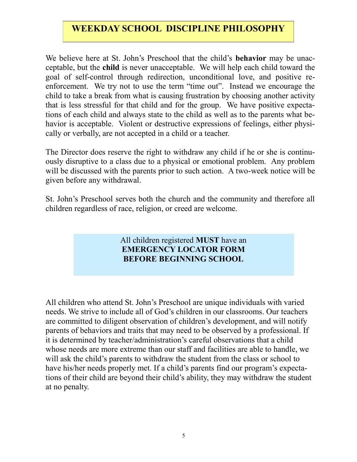#### **WEEKDAY SCHOOL DISCIPLINE PHILOSOPHY**

We believe here at St. John's Preschool that the child's **behavior** may be unacceptable, but the **child** is never unacceptable. We will help each child toward the goal of self-control through redirection, unconditional love, and positive reenforcement. We try not to use the term "time out". Instead we encourage the child to take a break from what is causing frustration by choosing another activity that is less stressful for that child and for the group. We have positive expectations of each child and always state to the child as well as to the parents what behavior is acceptable. Violent or destructive expressions of feelings, either physically or verbally, are not accepted in a child or a teacher.

The Director does reserve the right to withdraw any child if he or she is continuously disruptive to a class due to a physical or emotional problem. Any problem will be discussed with the parents prior to such action. A two-week notice will be given before any withdrawal.

St. John's Preschool serves both the church and the community and therefore all children regardless of race, religion, or creed are welcome.

#### All children registered **MUST** have an **EMERGENCY LOCATOR FORM BEFORE BEGINNING SCHOOL**

All children who attend St. John's Preschool are unique individuals with varied needs. We strive to include all of God's children in our classrooms. Our teachers are committed to diligent observation of children's development, and will notify parents of behaviors and traits that may need to be observed by a professional. If it is determined by teacher/administration's careful observations that a child whose needs are more extreme than our staff and facilities are able to handle, we will ask the child's parents to withdraw the student from the class or school to have his/her needs properly met. If a child's parents find our program's expectations of their child are beyond their child's ability, they may withdraw the student at no penalty.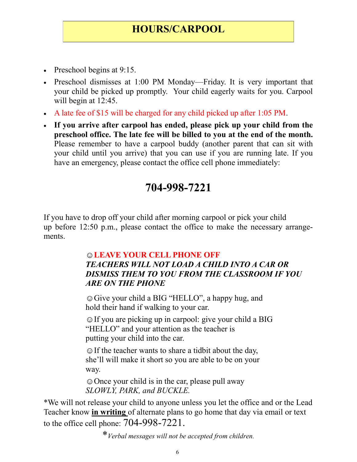## **HOURS/CARPOOL**

- Preschool begins at 9:15.
- Preschool dismisses at 1:00 PM Monday—Friday. It is very important that your child be picked up promptly. Your child eagerly waits for you. Carpool will begin at 12:45.
- A late fee of \$15 will be charged for any child picked up after 1:05 PM.
- **If you arrive after carpool has ended, please pick up your child from the preschool office. The late fee will be billed to you at the end of the month.**  Please remember to have a carpool buddy (another parent that can sit with your child until you arrive) that you can use if you are running late. If you have an emergency, please contact the office cell phone immediately:

# **704-998-7221**

If you have to drop off your child after morning carpool or pick your child up before 12:50 p.m., please contact the office to make the necessary arrangements.

#### ☺**LEAVE YOUR CELL PHONE OFF**  *TEACHERS WILL NOT LOAD A CHILD INTO A CAR OR DISMISS THEM TO YOU FROM THE CLASSROOM IF YOU ARE ON THE PHONE*

☺Give your child a BIG "HELLO", a happy hug, and hold their hand if walking to your car.

☺If you are picking up in carpool: give your child a BIG "HELLO" and your attention as the teacher is putting your child into the car.

**☺**If the teacher wants to share a tidbit about the day, she'll will make it short so you are able to be on your way.

☺Once your child is in the car, please pull away *SLOWLY, PARK, and BUCKLE.*

\*We will not release your child to anyone unless you let the office and or the Lead Teacher know **in writing** of alternate plans to go home that day via email or text to the office cell phone: 704-998-7221.

\**Verbal messages will not be accepted from children.*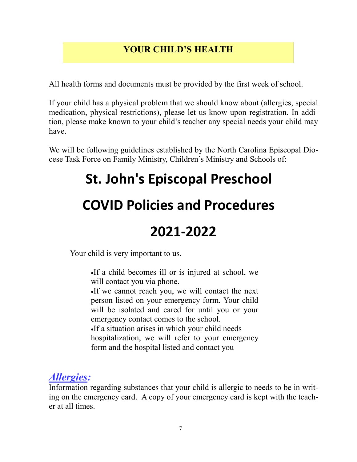#### **YOUR CHILD'S HEALTH**

All health forms and documents must be provided by the first week of school.

If your child has a physical problem that we should know about (allergies, special medication, physical restrictions), please let us know upon registration. In addition, please make known to your child's teacher any special needs your child may have.

We will be following guidelines established by the North Carolina Episcopal Diocese Task Force on Family Ministry, Children's Ministry and Schools of:

# **St. John's Episcopal Preschool**

# **COVID Policies and Procedures**

# **2021-2022**

Your child is very important to us.

•If a child becomes ill or is injured at school, we will contact you via phone.

•If we cannot reach you, we will contact the next person listed on your emergency form. Your child will be isolated and cared for until you or your emergency contact comes to the school. •If a situation arises in which your child needs

hospitalization, we will refer to your emergency form and the hospital listed and contact you

# *Allergies:*

Information regarding substances that your child is allergic to needs to be in writing on the emergency card. A copy of your emergency card is kept with the teacher at all times.